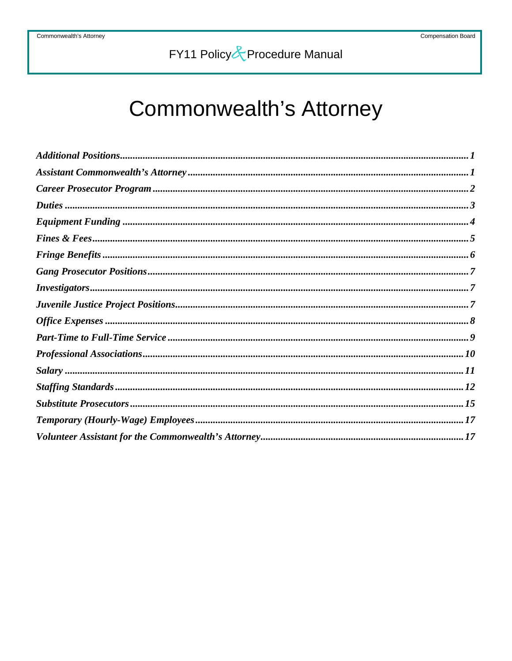# **Commonwealth's Attorney**

| $\emph{Professional Associates.}$ |
|-----------------------------------|
|                                   |
|                                   |
|                                   |
|                                   |
|                                   |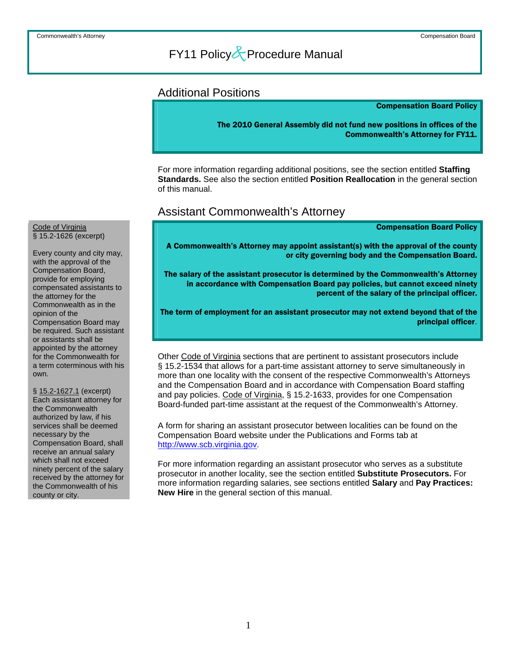### <span id="page-1-0"></span>Additional Positions

#### Compensation Board Policy

The 2010 General Assembly did not fund new positions in offices of the Commonwealth's Attorney for FY11.

For more information regarding additional positions, see the section entitled **Staffing Standards.** See also the section entitled **Position Reallocation** in the general section of this manual.

### Assistant Commonwealth's Attorney

Compensation Board Policy

A Commonwealth's Attorney may appoint assistant(s) with the approval of the county or city governing body and the Compensation Board.

The salary of the assistant prosecutor is determined by the Commonwealth's Attorney in accordance with Compensation Board pay policies, but cannot exceed ninety percent of the salary of the principal officer.

The term of employment for an assistant prosecutor may not extend beyond that of the principal officer.

Other Code of Virginia sections that are pertinent to assistant prosecutors include § 15.2-1534 that allows for a part-time assistant attorney to serve simultaneously in more than one locality with the consent of the respective Commonwealth's Attorneys and the Compensation Board and in accordance with Compensation Board staffing and pay policies. Code of Virginia, § 15.2-1633, provides for one Compensation Board-funded part-time assistant at the request of the Commonwealth's Attorney.

A form for sharing an assistant prosecutor between localities can be found on the Compensation Board website under the Publications and Forms tab at [http://www.scb.virginia.gov](http://www.scb.virginia.gov/).

For more information regarding an assistant prosecutor who serves as a substitute prosecutor in another locality, see the section entitled **Substitute Prosecutors.** For more information regarding salaries, see sections entitled **Salary** and **Pay Practices: New Hire** in the general section of this manual.

Code of Virginia § 15.2-1626 (excerpt)

Every county and city may, with the approval of the Compensation Board, provide for employing compensated assistants to the attorney for the Commonwealth as in the opinion of the Compensation Board may be required. Such assistant or assistants shall be appointed by the attorney for the Commonwealth for a term coterminous with his own.

§ 15.2-1627.1 (excerpt) Each assistant attorney for the Commonwealth authorized by law, if his services shall be deemed necessary by the Compensation Board, shall receive an annual salary which shall not exceed ninety percent of the salary received by the attorney for the Commonwealth of his county or city.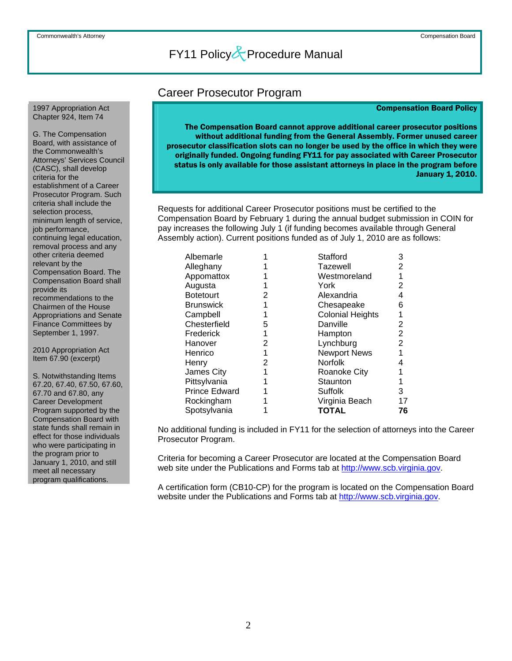### Career Prosecutor Program

#### Compensation Board Policy

The Compensation Board cannot approve additional career prosecutor positions without additional funding from the General Assembly. Former unused career prosecutor classification slots can no longer be used by the office in which they were originally funded. Ongoing funding FY11 for pay associated with Career Prosecutor status is only available for those assistant attorneys in place in the program before January 1, 2010.

Requests for additional Career Prosecutor positions must be certified to the Compensation Board by February 1 during the annual budget submission in COIN for pay increases the following July 1 (if funding becomes available through General Assembly action). Current positions funded as of July 1, 2010 are as follows:

| Albemarle            |   | Stafford                | 3              |
|----------------------|---|-------------------------|----------------|
| Alleghany            |   | Tazewell                | 2              |
| Appomattox           |   | Westmoreland            |                |
| Augusta              |   | York                    | 2              |
| <b>Botetourt</b>     | 2 | Alexandria              | 4              |
| <b>Brunswick</b>     |   | Chesapeake              | 6              |
| Campbell             |   | <b>Colonial Heights</b> | 1              |
| Chesterfield         | 5 | Danville                | 2              |
| Frederick            |   | Hampton                 | 2              |
| Hanover              | 2 | Lynchburg               | $\overline{2}$ |
| Henrico              |   | <b>Newport News</b>     |                |
| Henry                | 2 | <b>Norfolk</b>          |                |
| James City           |   | <b>Roanoke City</b>     |                |
| Pittsylvania         |   | Staunton                |                |
| <b>Prince Edward</b> |   | Suffolk                 | 3              |
| Rockingham           |   | Virginia Beach          | 17             |
| Spotsylvania         |   | TOTAL                   | 76             |

No additional funding is included in FY11 for the selection of attorneys into the Career Prosecutor Program.

Criteria for becoming a Career Prosecutor are located at the Compensation Board web site under the Publications and Forms tab at [http://www.scb.virginia.gov.](http://www.scb.virginia.gov/)

A certification form (CB10-CP) for the program is located on the Compensation Board website under the Publications and Forms tab at [http://www.scb.virginia.gov](http://www.scb.virginia.gov/).

<span id="page-2-0"></span>1997 Appropriation Act Chapter 924, Item 74

G. The Compensation Board, with assistance of the Commonwealth's Attorneys' Services Council (CASC), shall develop criteria for the establishment of a Career Prosecutor Program. Such criteria shall include the selection process, minimum length of service, job performance, continuing legal education, removal process and any other criteria deemed relevant by the Compensation Board. The Compensation Board shall provide its recommendations to the Chairmen of the House Appropriations and Senate Finance Committees by September 1, 1997.

2010 Appropriation Act Item 67.90 (excerpt)

S. Notwithstanding Items 67.20, 67.40, 67.50, 67.60, 67.70 and 67.80, any Career Development Program supported by the Compensation Board with state funds shall remain in effect for those individuals who were participating in the program prior to January 1, 2010, and still meet all necessary program qualifications.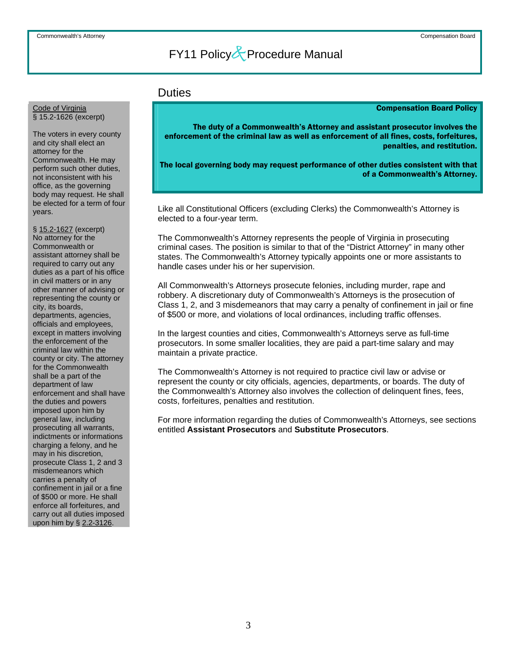### **Duties**

#### Compensation Board Policy

The duty of a Commonwealth's Attorney and assistant prosecutor involves the enforcement of the criminal law as well as enforcement of all fines, costs, forfeitures, penalties, and restitution.

The local governing body may request performance of other duties consistent with that of a Commonwealth's Attorney.

Like all Constitutional Officers (excluding Clerks) the Commonwealth's Attorney is elected to a four-year term.

The Commonwealth's Attorney represents the people of Virginia in prosecuting criminal cases. The position is similar to that of the "District Attorney" in many other states. The Commonwealth's Attorney typically appoints one or more assistants to handle cases under his or her supervision.

All Commonwealth's Attorneys prosecute felonies, including murder, rape and robbery. A discretionary duty of Commonwealth's Attorneys is the prosecution of Class 1, 2, and 3 misdemeanors that may carry a penalty of confinement in jail or fine of \$500 or more, and violations of local ordinances, including traffic offenses.

In the largest counties and cities, Commonwealth's Attorneys serve as full-time prosecutors. In some smaller localities, they are paid a part-time salary and may maintain a private practice.

The Commonwealth's Attorney is not required to practice civil law or advise or represent the county or city officials, agencies, departments, or boards. The duty of the Commonwealth's Attorney also involves the collection of delinquent fines, fees, costs, forfeitures, penalties and restitution.

For more information regarding the duties of Commonwealth's Attorneys, see sections entitled **Assistant Prosecutors** and **Substitute Prosecutors**.

<span id="page-3-0"></span>Code of Virginia § 15.2-1626 (excerpt)

The voters in every county and city shall elect an attorney for the Commonwealth. He may perform such other duties, not inconsistent with his office, as the governing body may request. He shall be elected for a term of four years.

§ 15.2-1627 (excerpt) No attorney for the Commonwealth or assistant attorney shall be required to carry out any duties as a part of his office in civil matters or in any other manner of advising or representing the county or city, its boards, departments, agencies, officials and employees, except in matters involving the enforcement of the criminal law within the county or city. The attorney for the Commonwealth shall be a part of the department of law enforcement and shall have the duties and powers imposed upon him by general law, including prosecuting all warrants, indictments or informations charging a felony, and he may in his discretion, prosecute Class 1, 2 and 3 misdemeanors which carries a penalty of confinement in jail or a fine of \$500 or more. He shall enforce all forfeitures, and carry out all duties imposed upon him by § 2.2-3126.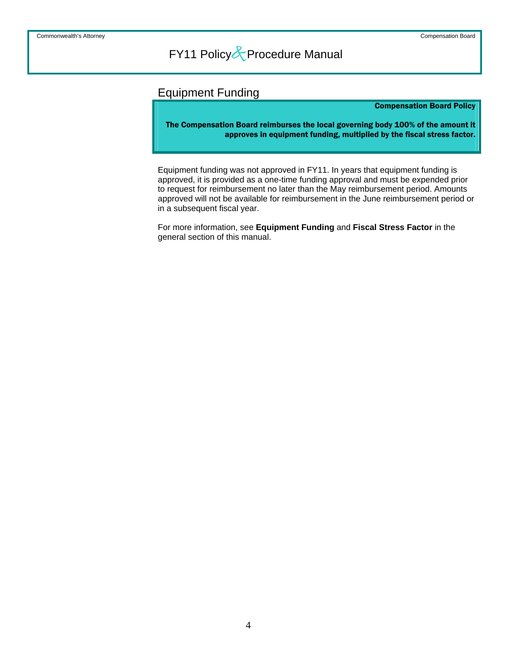### <span id="page-4-0"></span>Equipment Funding

### Compensation Board Policy

The Compensation Board reimburses the local governing body 100% of the amount it approves in equipment funding, multiplied by the fiscal stress factor.

Equipment funding was not approved in FY11. In years that equipment funding is approved, it is provided as a one-time funding approval and must be expended prior to request for reimbursement no later than the May reimbursement period. Amounts approved will not be available for reimbursement in the June reimbursement period or in a subsequent fiscal year.

For more information, see **Equipment Funding** and **Fiscal Stress Factor** in the general section of this manual.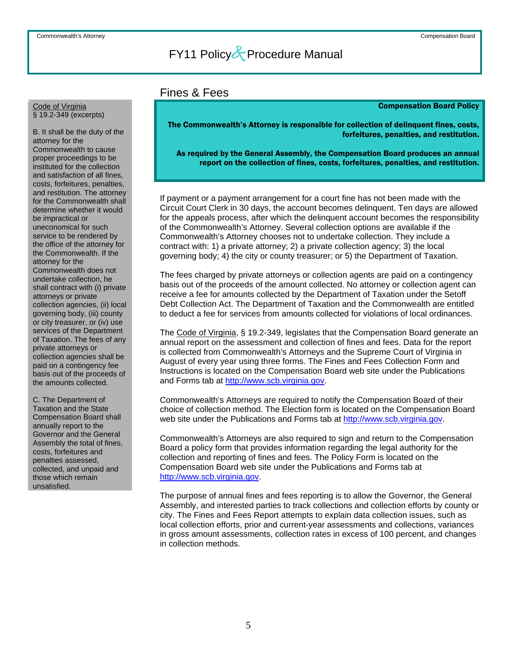### Fines & Fees

#### Compensation Board Policy

The Commonwealth's Attorney is responsible for collection of delinquent fines, costs, forfeitures, penalties, and restitution.

As required by the General Assembly, the Compensation Board produces an annual report on the collection of fines, costs, forfeitures, penalties, and restitution.

If payment or a payment arrangement for a court fine has not been made with the Circuit Court Clerk in 30 days, the account becomes delinquent. Ten days are allowed for the appeals process, after which the delinquent account becomes the responsibility of the Commonwealth's Attorney. Several collection options are available if the Commonwealth's Attorney chooses not to undertake collection. They include a contract with: 1) a private attorney; 2) a private collection agency; 3) the local governing body; 4) the city or county treasurer; or 5) the Department of Taxation.

The fees charged by private attorneys or collection agents are paid on a contingency basis out of the proceeds of the amount collected. No attorney or collection agent can receive a fee for amounts collected by the Department of Taxation under the Setoff Debt Collection Act. The Department of Taxation and the Commonwealth are entitled to deduct a fee for services from amounts collected for violations of local ordinances.

The Code of Virginia, § 19.2-349, legislates that the Compensation Board generate an annual report on the assessment and collection of fines and fees. Data for the report is collected from Commonwealth's Attorneys and the Supreme Court of Virginia in August of every year using three forms. The Fines and Fees Collection Form and Instructions is located on the Compensation Board web site under the Publications and Forms tab at [http://www.scb.virginia.gov](http://www.scb.virginia.gov/).

Commonwealth's Attorneys are required to notify the Compensation Board of their choice of collection method. The Election form is located on the Compensation Board web site under the Publications and Forms tab at [http://www.scb.virginia.gov](http://www.scb.virginia.gov/).

Commonwealth's Attorneys are also required to sign and return to the Compensation Board a policy form that provides information regarding the legal authority for the collection and reporting of fines and fees. The Policy Form is located on the Compensation Board web site under the Publications and Forms tab at [http://www.scb.virginia.gov.](http://www.scb.virginia.gov/)

The purpose of annual fines and fees reporting is to allow the Governor, the General Assembly, and interested parties to track collections and collection efforts by county or city. The Fines and Fees Report attempts to explain data collection issues, such as local collection efforts, prior and current-year assessments and collections, variances in gross amount assessments, collection rates in excess of 100 percent, and changes in collection methods.

### <span id="page-5-0"></span>Code of Virginia § 19.2-349 (excerpts)

B. It shall be the duty of the attorney for the Commonwealth to cause proper proceedings to be instituted for the collection and satisfaction of all fines, costs, forfeitures, penalties, and restitution. The attorney for the Commonwealth shall determine whether it would be impractical or uneconomical for such service to be rendered by the office of the attorney for the Commonwealth. If the attorney for the Commonwealth does not undertake collection, he shall contract with (i) private attorneys or private collection agencies, (ii) local governing body, (iii) county or city treasurer, or (iv) use services of the Department of Taxation. The fees of any private attorneys or collection agencies shall be paid on a contingency fee basis out of the proceeds of the amounts collected.

C. The Department of Taxation and the State Compensation Board shall annually report to the Governor and the General Assembly the total of fines, costs, forfeitures and penalties assessed, collected, and unpaid and those which remain unsatisfied.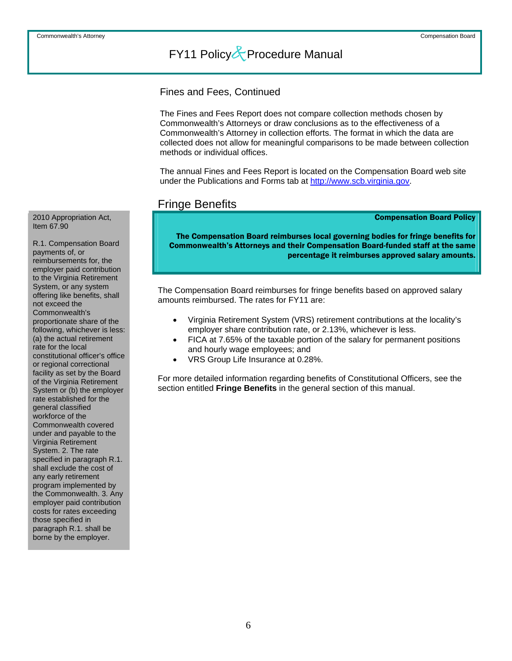<span id="page-6-0"></span>Fines and Fees, Continued

The Fines and Fees Report does not compare collection methods chosen by Commonwealth's Attorneys or draw conclusions as to the effectiveness of a Commonwealth's Attorney in collection efforts. The format in which the data are collected does not allow for meaningful comparisons to be made between collection methods or individual offices.

The annual Fines and Fees Report is located on the Compensation Board web site under the Publications and Forms tab at [http://www.scb.virginia.gov.](http://www.scb.virginia.gov/)

### Fringe Benefits

### Compensation Board Policy

The Compensation Board reimburses local governing bodies for fringe benefits for Commonwealth's Attorneys and their Compensation Board-funded staff at the same percentage it reimburses approved salary amounts.

The Compensation Board reimburses for fringe benefits based on approved salary amounts reimbursed. The rates for FY11 are:

- Virginia Retirement System (VRS) retirement contributions at the locality's employer share contribution rate, or 2.13%, whichever is less.
- FICA at 7.65% of the taxable portion of the salary for permanent positions and hourly wage employees; and
- VRS Group Life Insurance at 0.28%.

For more detailed information regarding benefits of Constitutional Officers, see the section entitled **Fringe Benefits** in the general section of this manual.

2010 Appropriation Act, Item 67.90

R.1. Compensation Board payments of, or reimbursements for, the employer paid contribution to the Virginia Retirement System, or any system offering like benefits, shall not exceed the Commonwealth's proportionate share of the following, whichever is less: (a) the actual retirement rate for the local constitutional officer's office or regional correctional facility as set by the Board of the Virginia Retirement System or (b) the employer rate established for the general classified workforce of the Commonwealth covered under and payable to the Virginia Retirement System. 2. The rate specified in paragraph R.1. shall exclude the cost of any early retirement program implemented by the Commonwealth. 3. Any employer paid contribution costs for rates exceeding those specified in paragraph R.1. shall be borne by the employer.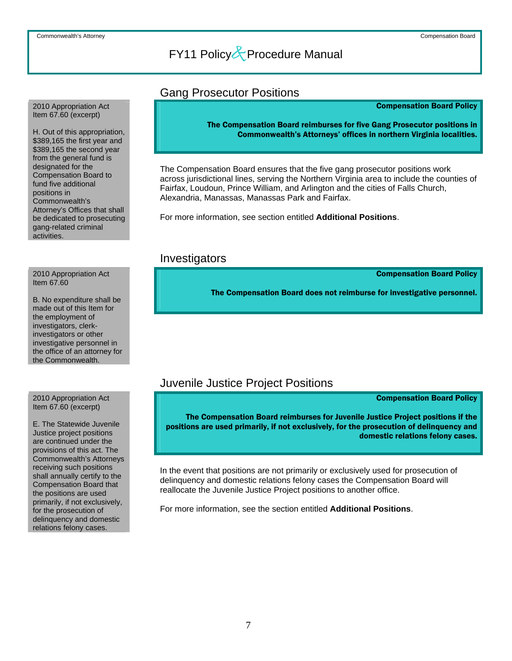#### <span id="page-7-0"></span>2010 Appropriation Act Item 67.60 (excerpt)

H. Out of this appropriation, \$389,165 the first year and \$389,165 the second year from the general fund is designated for the Compensation Board to fund five additional positions in Commonwealth's Attorney's Offices that shall be dedicated to prosecuting gang-related criminal activities.

#### 2010 Appropriation Act Item 67.60

B. No expenditure shall be made out of this Item for the employment of investigators, clerkinvestigators or other investigative personnel in the office of an attorney for the Commonwealth.

#### 2010 Appropriation Act Item 67.60 (excerpt)

E. The Statewide Juvenile Justice project positions are continued under the provisions of this act. The Commonwealth's Attorneys receiving such positions shall annually certify to the Compensation Board that the positions are used primarily, if not exclusively, for the prosecution of delinquency and domestic relations felony cases.

### Gang Prosecutor Positions

#### Compensation Board Policy

The Compensation Board reimburses for five Gang Prosecutor positions in Commonwealth's Attorneys' offices in northern Virginia localities.

The Compensation Board ensures that the five gang prosecutor positions work across jurisdictional lines, serving the Northern Virginia area to include the counties of Fairfax, Loudoun, Prince William, and Arlington and the cities of Falls Church, Alexandria, Manassas, Manassas Park and Fairfax.

For more information, see section entitled **Additional Positions**.

### Investigators

Compensation Board Policy

The Compensation Board does not reimburse for investigative personnel.

### Juvenile Justice Project Positions

Compensation Board Policy

The Compensation Board reimburses for Juvenile Justice Project positions if the positions are used primarily, if not exclusively, for the prosecution of delinquency and domestic relations felony cases.

In the event that positions are not primarily or exclusively used for prosecution of delinquency and domestic relations felony cases the Compensation Board will reallocate the Juvenile Justice Project positions to another office.

For more information, see the section entitled **Additional Positions**.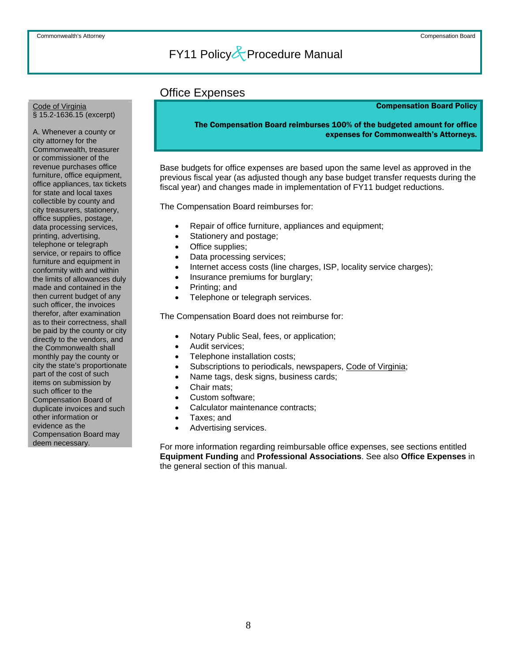### Office Expenses

### Compensation Board Policy

The Compensation Board reimburses 100% of the budgeted amount for office expenses for Commonwealth's Attorneys.

Base budgets for office expenses are based upon the same level as approved in the previous fiscal year (as adjusted though any base budget transfer requests during the fiscal year) and changes made in implementation of FY11 budget reductions.

The Compensation Board reimburses for:

- Repair of office furniture, appliances and equipment;
- Stationery and postage;
- Office supplies;
- Data processing services;
- Internet access costs (line charges, ISP, locality service charges);
- Insurance premiums for burglary;
- Printing; and
- Telephone or telegraph services.

The Compensation Board does not reimburse for:

- Notary Public Seal, fees, or application;
- Audit services;
- Telephone installation costs;
- Subscriptions to periodicals, newspapers, Code of Virginia;
- Name tags, desk signs, business cards;
- Chair mats;
- Custom software;
- Calculator maintenance contracts;
- Taxes; and
- Advertising services.

For more information regarding reimbursable office expenses, see sections entitled **Equipment Funding** and **Professional Associations**. See also **Office Expenses** in the general section of this manual.

### <span id="page-8-0"></span>Code of Virginia § 15.2-1636.15 (excerpt)

A. Whenever a county or city attorney for the Commonwealth, treasurer or commissioner of the revenue purchases office furniture, office equipment, office appliances, tax tickets for state and local taxes collectible by county and city treasurers, stationery, office supplies, postage, data processing services, printing, advertising, telephone or telegraph service, or repairs to office furniture and equipment in conformity with and within the limits of allowances duly made and contained in the then current budget of any such officer, the invoices therefor, after examination as to their correctness, shall be paid by the county or city directly to the vendors, and the Commonwealth shall monthly pay the county or city the state's proportionate part of the cost of such items on submission by such officer to the Compensation Board of duplicate invoices and such other information or evidence as the Compensation Board may deem necessary.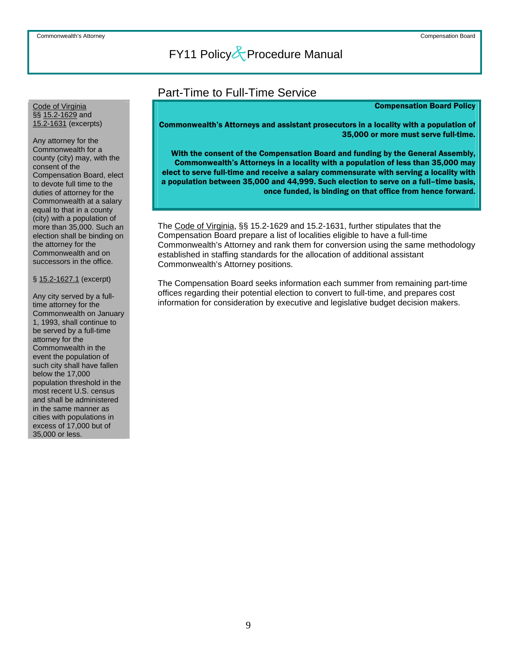#### <span id="page-9-0"></span>Code of Virginia §§ 15.2-1629 and 15.2-1631 (excerpts)

Any attorney for the Commonwealth for a county (city) may, with the consent of the Compensation Board, elect to devote full time to the duties of attorney for the Commonwealth at a salary equal to that in a county (city) with a population of more than 35,000. Such an election shall be binding on the attorney for the Commonwealth and on successors in the office.

#### § 15.2-1627.1 (excerpt)

Any city served by a fulltime attorney for the Commonwealth on January 1, 1993, shall continue to be served by a full-time attorney for the Commonwealth in the event the population of such city shall have fallen below the 17,000 population threshold in the most recent U.S. census and shall be administered in the same manner as cities with populations in excess of 17,000 but of 35,000 or less.

### Part-Time to Full-Time Service

### Compensation Board Policy

Commonwealth's Attorneys and assistant prosecutors in a locality with a population of 35,000 or more must serve full-time.

With the consent of the Compensation Board and funding by the General Assembly, Commonwealth's Attorneys in a locality with a population of less than 35,000 may elect to serve full-time and receive a salary commensurate with serving a locality with a population between 35,000 and 44,999. Such election to serve on a full–time basis, once funded, is binding on that office from hence forward.

The Code of Virginia, §§ 15.2-1629 and 15.2-1631, further stipulates that the Compensation Board prepare a list of localities eligible to have a full-time Commonwealth's Attorney and rank them for conversion using the same methodology established in staffing standards for the allocation of additional assistant Commonwealth's Attorney positions.

The Compensation Board seeks information each summer from remaining part-time offices regarding their potential election to convert to full-time, and prepares cost information for consideration by executive and legislative budget decision makers.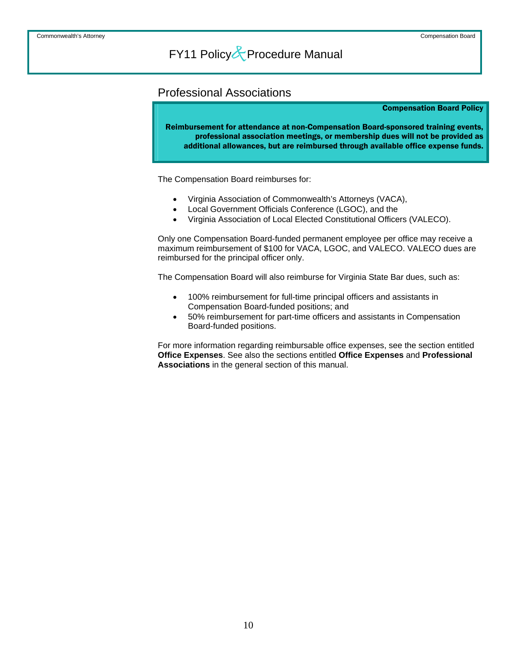### <span id="page-10-0"></span>Professional Associations

#### Compensation Board Policy

Reimbursement for attendance at non-Compensation Board-sponsored training events, professional association meetings, or membership dues will not be provided as additional allowances, but are reimbursed through available office expense funds.

The Compensation Board reimburses for:

- Virginia Association of Commonwealth's Attorneys (VACA),
- Local Government Officials Conference (LGOC), and the
- Virginia Association of Local Elected Constitutional Officers (VALECO).

Only one Compensation Board-funded permanent employee per office may receive a maximum reimbursement of \$100 for VACA, LGOC, and VALECO. VALECO dues are reimbursed for the principal officer only.

The Compensation Board will also reimburse for Virginia State Bar dues, such as:

- 100% reimbursement for full-time principal officers and assistants in Compensation Board-funded positions; and
- 50% reimbursement for part-time officers and assistants in Compensation Board-funded positions.

For more information regarding reimbursable office expenses, see the section entitled **Office Expenses**. See also the sections entitled **Office Expenses** and **Professional Associations** in the general section of this manual.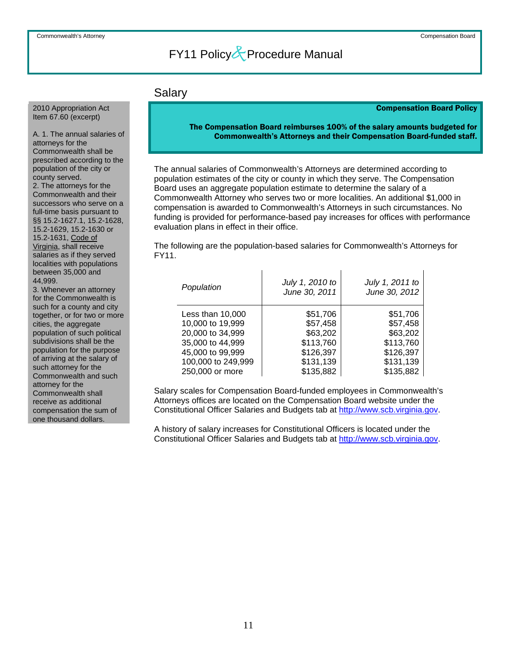### Salary

#### Compensation Board Policy

<span id="page-11-0"></span>2010 Appropriation Act Item 67.60 (excerpt)

A. 1. The annual salaries of attorneys for the Commonwealth shall be prescribed according to the population of the city or county served. 2. The attorneys for the Commonwealth and their successors who serve on a full-time basis pursuant to §§ 15.2-1627.1, 15.2-1628, 15.2-1629, 15.2-1630 or 15.2-1631, Code of Virginia, shall receive salaries as if they served localities with populations between 35,000 and 44,999.

3. Whenever an attorney for the Commonwealth is such for a county and city together, or for two or more cities, the aggregate population of such political subdivisions shall be the population for the purpose of arriving at the salary of such attorney for the Commonwealth and such attorney for the Commonwealth shall receive as additional compensation the sum of one thousand dollars.

The Compensation Board reimburses 100% of the salary amounts budgeted for Commonwealth's Attorneys and their Compensation Board-funded staff.

 $\mathbf{r}$ 

The annual salaries of Commonwealth's Attorneys are determined according to population estimates of the city or county in which they serve. The Compensation Board uses an aggregate population estimate to determine the salary of a Commonwealth Attorney who serves two or more localities. An additional \$1,000 in compensation is awarded to Commonwealth's Attorneys in such circumstances. No funding is provided for performance-based pay increases for offices with performance evaluation plans in effect in their office.

The following are the population-based salaries for Commonwealth's Attorneys for FY11.

| Population         | July 1, 2010 to<br>June 30, 2011 | July 1, 2011 to<br>June 30, 2012 |
|--------------------|----------------------------------|----------------------------------|
| Less than 10,000   | \$51,706                         | \$51,706                         |
| 10,000 to 19,999   | \$57,458                         | \$57,458                         |
| 20,000 to 34,999   | \$63,202                         | \$63,202                         |
| 35,000 to 44,999   | \$113,760                        | \$113,760                        |
| 45,000 to 99,999   | \$126,397                        | \$126,397                        |
| 100,000 to 249,999 | \$131,139                        | \$131,139                        |
| 250,000 or more    | \$135,882                        | \$135,882                        |

Salary scales for Compensation Board-funded employees in Commonwealth's Attorneys offices are located on the Compensation Board website under the Constitutional Officer Salaries and Budgets tab at [http://www.scb.virginia.gov.](http://www.scb.virginia.gov/)

A history of salary increases for Constitutional Officers is located under the Constitutional Officer Salaries and Budgets tab at [http://www.scb.virginia.gov.](http://www.scb.virginia.gov/)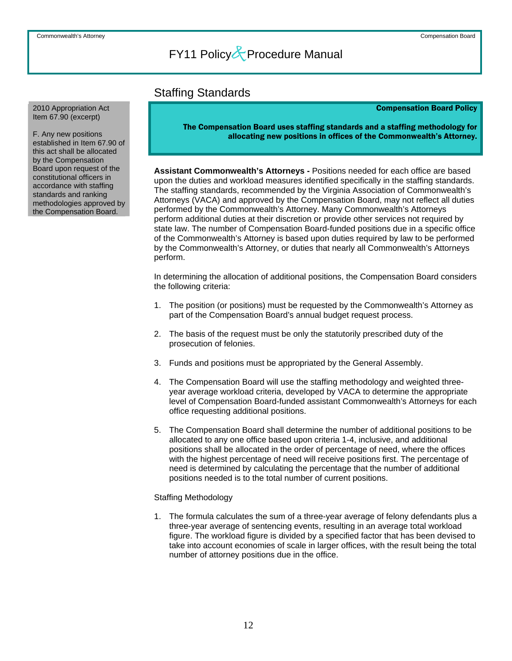### Staffing Standards

#### Compensation Board Policy

The Compensation Board uses staffing standards and a staffing methodology for allocating new positions in offices of the Commonwealth's Attorney.

**Assistant Commonwealth's Attorneys -** Positions needed for each office are based upon the duties and workload measures identified specifically in the staffing standards. The staffing standards, recommended by the Virginia Association of Commonwealth's Attorneys (VACA) and approved by the Compensation Board, may not reflect all duties performed by the Commonwealth's Attorney. Many Commonwealth's Attorneys perform additional duties at their discretion or provide other services not required by state law. The number of Compensation Board-funded positions due in a specific office of the Commonwealth's Attorney is based upon duties required by law to be performed by the Commonwealth's Attorney, or duties that nearly all Commonwealth's Attorneys perform.

In determining the allocation of additional positions, the Compensation Board considers the following criteria:

- 1. The position (or positions) must be requested by the Commonwealth's Attorney as part of the Compensation Board's annual budget request process.
- 2. The basis of the request must be only the statutorily prescribed duty of the prosecution of felonies.
- 3. Funds and positions must be appropriated by the General Assembly.
- 4. The Compensation Board will use the staffing methodology and weighted threeyear average workload criteria, developed by VACA to determine the appropriate level of Compensation Board-funded assistant Commonwealth's Attorneys for each office requesting additional positions.
- 5. The Compensation Board shall determine the number of additional positions to be allocated to any one office based upon criteria 1-4, inclusive, and additional positions shall be allocated in the order of percentage of need, where the offices with the highest percentage of need will receive positions first. The percentage of need is determined by calculating the percentage that the number of additional positions needed is to the total number of current positions.

#### Staffing Methodology

1. The formula calculates the sum of a three-year average of felony defendants plus a three-year average of sentencing events, resulting in an average total workload figure. The workload figure is divided by a specified factor that has been devised to take into account economies of scale in larger offices, with the result being the total number of attorney positions due in the office.

<span id="page-12-0"></span>2010 Appropriation Act Item 67.90 (excerpt)

F. Any new positions established in Item 67.90 of this act shall be allocated by the Compensation Board upon request of the constitutional officers in accordance with staffing standards and ranking methodologies approved by the Compensation Board.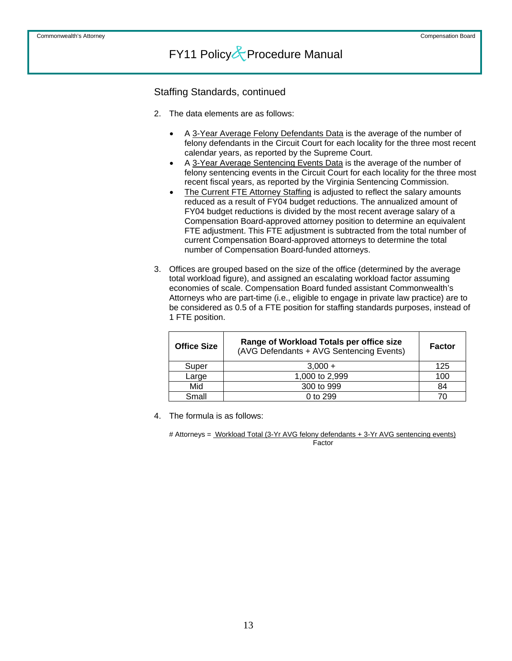Staffing Standards, continued

- 2. The data elements are as follows:
	- A 3-Year Average Felony Defendants Data is the average of the number of felony defendants in the Circuit Court for each locality for the three most recent calendar years, as reported by the Supreme Court.
	- A 3-Year Average Sentencing Events Data is the average of the number of felony sentencing events in the Circuit Court for each locality for the three most recent fiscal years, as reported by the Virginia Sentencing Commission.
	- The Current FTE Attorney Staffing is adjusted to reflect the salary amounts reduced as a result of FY04 budget reductions. The annualized amount of FY04 budget reductions is divided by the most recent average salary of a Compensation Board-approved attorney position to determine an equivalent FTE adjustment. This FTE adjustment is subtracted from the total number of current Compensation Board-approved attorneys to determine the total number of Compensation Board-funded attorneys.
- 3. Offices are grouped based on the size of the office (determined by the average total workload figure), and assigned an escalating workload factor assuming economies of scale. Compensation Board funded assistant Commonwealth's Attorneys who are part-time (i.e., eligible to engage in private law practice) are to be considered as 0.5 of a FTE position for staffing standards purposes, instead of 1 FTE position.

| <b>Office Size</b> | Range of Workload Totals per office size<br>(AVG Defendants + AVG Sentencing Events) | <b>Factor</b> |
|--------------------|--------------------------------------------------------------------------------------|---------------|
| Super              | $3,000 +$                                                                            | 125           |
| Large              | 1,000 to 2,999                                                                       | 100           |
| Mid                | 300 to 999                                                                           | 84            |
| Small              | 0 to 299                                                                             |               |

4. The formula is as follows:

# Attorneys = Workload Total (3-Yr AVG felony defendants + 3-Yr AVG sentencing events) Factor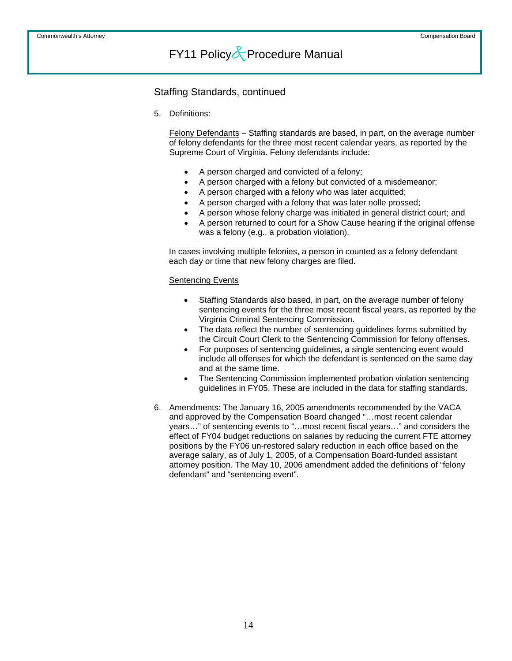Staffing Standards, continued

5. Definitions:

Felony Defendants – Staffing standards are based, in part, on the average number of felony defendants for the three most recent calendar years, as reported by the Supreme Court of Virginia. Felony defendants include:

- A person charged and convicted of a felony;
- A person charged with a felony but convicted of a misdemeanor;
- A person charged with a felony who was later acquitted;
- A person charged with a felony that was later nolle prossed;
- A person whose felony charge was initiated in general district court; and
- A person returned to court for a Show Cause hearing if the original offense was a felony (e.g., a probation violation).

In cases involving multiple felonies, a person in counted as a felony defendant each day or time that new felony charges are filed.

### Sentencing Events

- Staffing Standards also based, in part, on the average number of felony sentencing events for the three most recent fiscal years, as reported by the Virginia Criminal Sentencing Commission.
- The data reflect the number of sentencing guidelines forms submitted by the Circuit Court Clerk to the Sentencing Commission for felony offenses.
- For purposes of sentencing guidelines, a single sentencing event would include all offenses for which the defendant is sentenced on the same day and at the same time.
- The Sentencing Commission implemented probation violation sentencing guidelines in FY05. These are included in the data for staffing standards.
- 6. Amendments: The January 16, 2005 amendments recommended by the VACA and approved by the Compensation Board changed "…most recent calendar years…" of sentencing events to "…most recent fiscal years…" and considers the effect of FY04 budget reductions on salaries by reducing the current FTE attorney positions by the FY06 un-restored salary reduction in each office based on the average salary, as of July 1, 2005, of a Compensation Board-funded assistant attorney position. The May 10, 2006 amendment added the definitions of "felony defendant" and "sentencing event".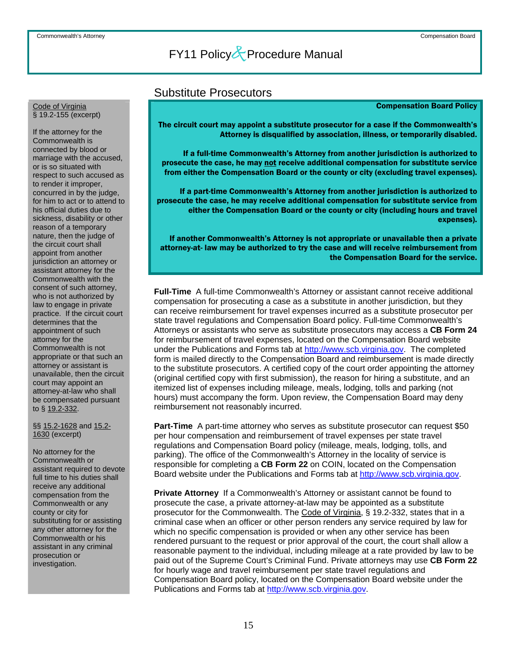### Substitute Prosecutors

#### Compensation Board Policy

The circuit court may appoint a substitute prosecutor for a case if the Commonwealth's Attorney is disqualified by association, illness, or temporarily disabled.

If a full-time Commonwealth's Attorney from another jurisdiction is authorized to prosecute the case, he may not receive additional compensation for substitute service from either the Compensation Board or the county or city (excluding travel expenses).

If a part-time Commonwealth's Attorney from another jurisdiction is authorized to prosecute the case, he may receive additional compensation for substitute service from either the Compensation Board or the county or city (including hours and travel expenses).

If another Commonwealth's Attorney is not appropriate or unavailable then a private attorney-at- law may be authorized to try the case and will receive reimbursement from the Compensation Board for the service.

**Full-Time** A full-time Commonwealth's Attorney or assistant cannot receive additional compensation for prosecuting a case as a substitute in another jurisdiction, but they can receive reimbursement for travel expenses incurred as a substitute prosecutor per state travel regulations and Compensation Board policy. Full-time Commonwealth's Attorneys or assistants who serve as substitute prosecutors may access a **CB Form 24** for reimbursement of travel expenses, located on the Compensation Board website under the Publications and Forms tab at [http://www.scb.virginia.gov.](http://www.scb.virginia.gov/) The completed form is mailed directly to the Compensation Board and reimbursement is made directly to the substitute prosecutors. A certified copy of the court order appointing the attorney (original certified copy with first submission), the reason for hiring a substitute, and an itemized list of expenses including mileage, meals, lodging, tolls and parking (not hours) must accompany the form. Upon review, the Compensation Board may deny reimbursement not reasonably incurred.

**Part-Time** A part-time attorney who serves as substitute prosecutor can request \$50 per hour compensation and reimbursement of travel expenses per state travel regulations and Compensation Board policy (mileage, meals, lodging, tolls, and parking). The office of the Commonwealth's Attorney in the locality of service is responsible for completing a **CB Form 22** on COIN, located on the Compensation Board website under the Publications and Forms tab at [http://www.scb.virginia.gov.](http://www.scb.virginia.gov/)

**Private Attorney** If a Commonwealth's Attorney or assistant cannot be found to prosecute the case, a private attorney-at-law may be appointed as a substitute prosecutor for the Commonwealth. The Code of Virginia, § 19.2-332, states that in a criminal case when an officer or other person renders any service required by law for which no specific compensation is provided or when any other service has been rendered pursuant to the request or prior approval of the court, the court shall allow a reasonable payment to the individual, including mileage at a rate provided by law to be paid out of the Supreme Court's Criminal Fund. Private attorneys may use **CB Form 22** for hourly wage and travel reimbursement per state travel regulations and Compensation Board policy, located on the Compensation Board website under the Publications and Forms tab at [http://www.scb.virginia.gov.](http://www.scb.virginia.gov/)

### <span id="page-15-0"></span>Code of Virginia § 19.2-155 (excerpt)

If the attorney for the Commonwealth is connected by blood or marriage with the accused, or is so situated with respect to such accused as to render it improper, concurred in by the judge, for him to act or to attend to his official duties due to sickness, disability or other reason of a temporary nature, then the judge of the circuit court shall appoint from another jurisdiction an attorney or assistant attorney for the Commonwealth with the consent of such attorney, who is not authorized by law to engage in private practice. If the circuit court determines that the appointment of such attorney for the Commonwealth is not appropriate or that such an attorney or assistant is unavailable, then the circuit court may appoint an attorney-at-law who shall be compensated pursuant to § 19.2-332.

#### §§ 15.2-1628 and 15.2-1630 (excerpt)

No attorney for the Commonwealth or assistant required to devote full time to his duties shall receive any additional compensation from the Commonwealth or any county or city for substituting for or assisting any other attorney for the Commonwealth or his assistant in any criminal prosecution or investigation.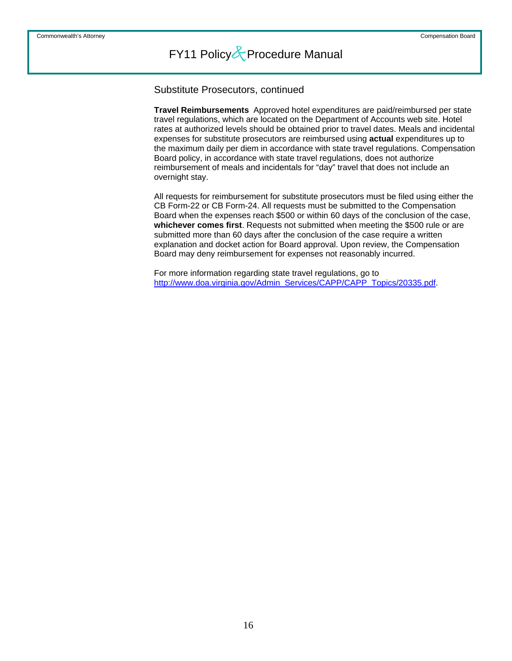Substitute Prosecutors, continued

**Travel Reimbursements** Approved hotel expenditures are paid/reimbursed per state travel regulations, which are located on the Department of Accounts web site. Hotel rates at authorized levels should be obtained prior to travel dates. Meals and incidental expenses for substitute prosecutors are reimbursed using **actual** expenditures up to the maximum daily per diem in accordance with state travel regulations. Compensation Board policy, in accordance with state travel regulations, does not authorize reimbursement of meals and incidentals for "day" travel that does not include an overnight stay.

All requests for reimbursement for substitute prosecutors must be filed using either the CB Form-22 or CB Form-24. All requests must be submitted to the Compensation Board when the expenses reach \$500 or within 60 days of the conclusion of the case, **whichever comes first**. Requests not submitted when meeting the \$500 rule or are submitted more than 60 days after the conclusion of the case require a written explanation and docket action for Board approval. Upon review, the Compensation Board may deny reimbursement for expenses not reasonably incurred.

For more information regarding state travel regulations, go to [http://www.doa.virginia.gov/Admin\\_Services/CAPP/CAPP\\_Topics/20335.pdf](http://www.doa.virginia.gov/Admin_Services/CAPP/CAPP_Topics/20335.pdf).